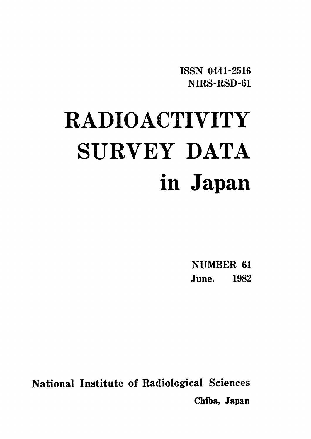ISSN 0441-2516 NIRS-RSD-61

# **RADIOACTIVITY** SURVEY DATA in Japan

NUMBER 61 June. 1982

National Institute of Radiological Sciences Chiba, Japan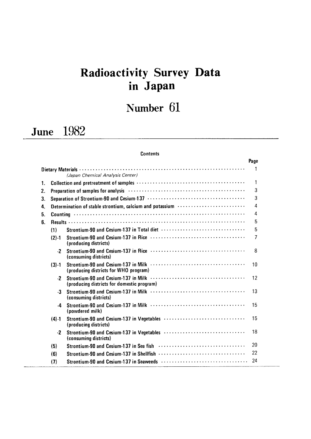# Radioactivity Survey Dat in Japan

# Number 61

# June 1982

## **Contents**

|    |           |                                                                                                       | Page             |
|----|-----------|-------------------------------------------------------------------------------------------------------|------------------|
|    |           | (Japan Chemical Analysis Center)                                                                      | 1                |
| 1. |           |                                                                                                       | 1                |
| 2. |           | Preparation of samples for analysis (and accommodation of the preparation of samples for analysis (b) | 3                |
| 3. |           |                                                                                                       | 3                |
| 4. |           | Determination of stable strontium, calcium and potassium                                              | $\boldsymbol{4}$ |
| 5. |           |                                                                                                       | 4                |
| 6. |           |                                                                                                       | 5                |
|    | (1)       |                                                                                                       | 5                |
|    | $(2) - 1$ | (producing districts)                                                                                 | $\overline{7}$   |
|    | $\cdot$   | (consuming districts)                                                                                 | 8                |
|    | $(3) - 1$ | (producing districts for WHO program)                                                                 | 10               |
|    | $-2$      | (producing districts for domestic program)                                                            | 12               |
|    | $-3$      | (consuming districts)                                                                                 | 13               |
|    | -4        | (powdered milk)                                                                                       | 15               |
|    | (4) 1     | (producing districts)                                                                                 | 15               |
|    | -2        | (consuming districts)                                                                                 | 18               |
|    | (5)       |                                                                                                       | 20               |
|    | (6)       |                                                                                                       | 22               |
|    | (7)       |                                                                                                       | 24               |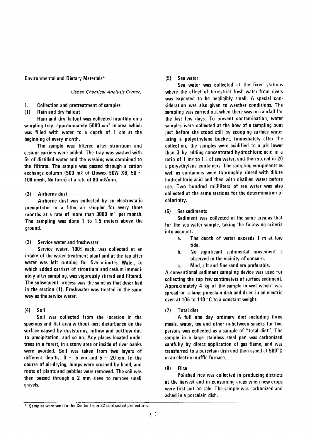#### **Environmental and Dietary Materials\***

(Japan Chemical Analysis Center)

1. **Collection and pretreatment of samples** 

Rain and dry fallout  $(1)$ 

Rain and dry fallout was collected monthly on a sampling tray, approximately 5000  $\text{cm}^2$  in area, which was filled with water to a depth of 1 cm at the beginning of every month.

The sample was filtered after strontium and cesium carriers were added. The tray was washed with  $5\ell$  of distilled water and the washing was combined to the filtrate. The sample was passed through a cation exchange column (500 m) of Dowex 50W X8. 50  $\sim$ 100 mesh, Na form) at a rate of 80 m $\ell$ /min.

#### Airborne dust  $(2)$

Airborne dust was collected by an electrostatic precipitator or a filter air sampler for every three months at a rate of more than 3000 m<sup>3</sup> per month. The sampling was done 1 to 1.5 meters above the ground.

 $(3)$ Service water and freshwater

Service water, 1000 each, was collected at an intake of the water-treatment plant and at the tap after water was left running for five minutes. Water, to which added carriers of strontium and cesium immediately after sampling, was vigorously stirred and filtered. The subsequent process was the same as that described in the section (1). Freshwater was treated in the same way as the service water.

 $(4)$ Soil

Soil was collected from the location in the spacious and flat area without past disturbance on the surface caused by duststorms, inflow and outflow due to precipitation, and so on. Any places located under trees in a forest, in a stony area or inside of river banks were avoided. Soil was taken from two layers of different depths,  $0 \sim 5$  cm and  $5 \sim 20$  cm. In the course of air-drying, lumps were crushed by hand, and roots of plants and pebbles were removed. The soil was then passed through a 2 mm sieve to remove small gravels.

#### $(5)$ Sea water

Sea water was collected at the fixed stations where the effect of terrestrial fresh water from rivers was expected to be negligibly small. A special consideration was also given to weather conditions. The sampling was carried out when there was no rainfall for the last few days. To prevent contamination, water samples were collected at the bow of a sampling boat just before she stood still by scooping surface water using a polyethylene bucket. Immediately after the collection, the samples were acidified to a pH lower than 3 by adding concentrated hydrochloric acid in a ratio of 1 m $\ell$  to 1  $\ell$  of sea water, and then stored in 20  $\ell$  polyethylene containers. The sampling equipments as well as containers were thoroughly rinsed with dilute hydrochloric acid and then with distilled water before use. Two hundred milliliters of sea water was also collected at the same stations for the determination of chlorinity.

#### $(6)$ Sea sediments

Sediment was collected in the same area as that for the sea water sample, taking the following criteria into account:

- a. The depth of water exceeds 1 m at low tide.
- No significant sedimental movement is **.** observed in the vicinity of concern.
- Mud, silt and fine sand are preferable. C.

A conventional sediment sampling device was used for collecting the top few centimeters of surface sediment. Approximately 4 kg of the sample in wet weight was spread on a large porcelain dish and dried in an electric oven at 105 to 110 °C to a constant weight.

 $(7)$ **Total diet** 

A full one day ordinary diet including three meals, water, tea and other in-between snacks for five persons was collected as a sample of "total diet". The sample in a large stainless steel pan was carbonized carefully by direct application of gas flame, and was transferred to a porcelain dish and then ashed at 500°C in an electric muffle furnace.

#### $(8)$ Rice

Polished rice was collected in producing districts at the harvest and in consuming areas when new crops were first put on sale. The sample was carbonized and ashed in a porcelain dish.

<sup>\*</sup> Samples were sent to the Center from 32 contracted prefectures.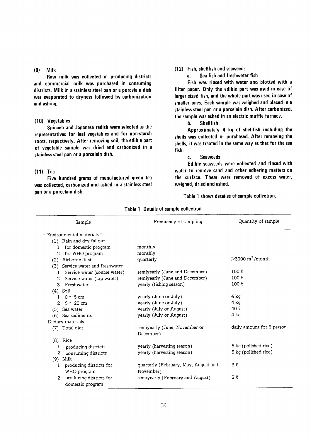#### $(9)$ Milk

Raw milk was collected in producing districts and commercial milk was purchased in consuming districts. Milk in a stainless steel pan or a porcelain dish was evaporated to dryness followed by carbonization and ashing.

#### (10) Vegetables

Spinach and Japanese radish were selected as the representatives for leaf vegetables and for non-starch roots, respectively. After removing soil, the edible part of vegetable sample was dried and carbonized in a stainless steel pan or a porcelain dish.

#### $(11)$  Tea

Five hundred grams of manufactured green tea was collected, carbonized and ashed in a stainless steel pan or a porcelain dish.

#### (12) Fish, shellfish and seaweeds

Sea fish and freshwater fish  $a<sub>z</sub>$ 

Fish was rinsed with water and blotted with a filter paper. Only the edible part was used in case of larger sized fish, and the whole part was used in case of smaller ones. Each sample was weighed and placed in a stainless steel pan or a porcelain dish. After carbonized, the sample was ashed in an electric muffle furnace.

> b. **Shellfish**

Approximately 4 kg of shellfish including the shells was collected or purchased. After removing the shells, it was treated in the same way as that for the sea fish.

#### **Seaweeds** c.

Edible seaweeds were collected and rinsed with water to remove sand and other adhering matters on the surface. These were removed of excess water, weighed, dried and ashed.

Table 1 shows detailes of sample collection.

| Sample                                    | Frequency of sampling                | Quantity of sample               |
|-------------------------------------------|--------------------------------------|----------------------------------|
| $=$ Environmental materials $=$           |                                      |                                  |
| (1) Rain and dry fallout                  |                                      |                                  |
| for domestic program<br>1                 | monthly                              |                                  |
| for WHO program<br>2                      | monthly                              |                                  |
| Airborne dust<br>(2)                      | quarterly                            | $>3000 \text{ m}^3/\text{month}$ |
| (3) Service water and freshwater          |                                      |                                  |
| Service water (sourse water)<br>1         | semiyearly (June and December)       | 100 <sub>l</sub>                 |
| Service water (tap water)<br>2            | semiyearly (June and December)       | $100 \ell$                       |
| Freshwater<br>3                           | yearly (fishing season)              | $100 \ell$                       |
| $(4)$ Soil                                |                                      |                                  |
| $0 \sim 5$ cm<br>$\mathbf{I}$             | yearly (June or July)                | $4 \text{ kg}$                   |
| $5 \sim 20$ cm<br>$\overline{2}$          | yearly (June or July)                | $4$ kg                           |
| (5) Sea water                             | yearly (July or August)              | 40 $\ell$                        |
| (6) Sea sediments                         | yearly (July or August)              | 4 kg                             |
| $=$ Dietary materials $=$                 |                                      |                                  |
| (7) Total diet                            | semiyearly (June, November or        | daily amount for 5 person        |
|                                           | December)                            |                                  |
| $(8)$ Rice                                |                                      |                                  |
| producing districts<br>1                  | yearly (harvesting season)           | 5 kg (polished rice)             |
| 2<br>consuming districts                  | yearly (harvesting season)           | 5 kg (polished rice)             |
| Milk<br>(9)                               |                                      |                                  |
| producing districts for<br>Ŧ              | quarterly (February, May, August and | 3 R                              |
| WHO program                               | November)                            |                                  |
| producing districts for<br>$\mathfrak{D}$ | semiyearly (February and August)     | 32                               |
| domestic program                          |                                      |                                  |

#### Table 1 Details of sample collection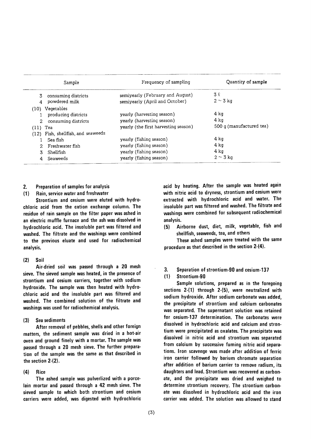|                 | Sample                             | Frequency of sampling                | Quantity of sample       |
|-----------------|------------------------------------|--------------------------------------|--------------------------|
| 3.              | consuming districts                | semiyearly (February and August)     | 3 l                      |
|                 | powdered milk                      | semiyearly (April and October)       | $2 \sim 3$ kg            |
| (10) Vegetables |                                    |                                      |                          |
|                 | producing districts                | yearly (harvesting season)           | 4 ka                     |
| 2               | consuming districts                | yearly (harvesting season)           | 4 ka                     |
| $(11)$ Tea      |                                    | yearly (the first harvesting season) | 500 g (manufactured tea) |
|                 | (12) Fish, shellfish, and seaweeds |                                      |                          |
| Sea fish        |                                    | yearly (fishing season)              | 4 kg                     |
|                 | Freshwater fish                    | yearly (fishing season)              | 4 kg                     |
| Shellfish       |                                    | yearly (fishing season)              | 4 kg                     |
|                 | Seaweeds                           | yearly (fishing season)              | $2 \sim 3$ kg            |

#### Preparation of samples for analysis  $2.$

 $(1)$ Rain, service water and freshwater

Strontium and cesium were eluted with hydrochloric acid from the cation exchange column. The residue of rain sample on the filter paper was ashed in an electric muffle furnace and the ash was dissolved in hydrochloric acid. The insoluble part was filtered and washed. The filtrate and the washings were combined to the previous eluate and used for radiochemical analysis.

#### $(2)$ Soil

Air-dried soil was passed through a 20 mesh sieve. The sieved sample was heated, in the presence of strontium and cesium carriers, together with sodium hydroxide. The sample was then heated with hydrochloric acid and the insoluble part was filtered and washed. The combined solution of the filtrate and washings was used for radiochemical analysis.

#### $(3)$ Sea sediments

After removal of pebbles, shells and other foreign matters, the sediment sample was dried in a hot-air oven and ground finely with a mortar. The sample was passed through a 20 mesh sieve. The further preparation of the sample was the same as that described in the section  $2-(2)$ .

#### $(4)$ Rice

The ashed sample was pulverlized with a porcelain mortar and passed through a 42 mesh sieve. The sieved sample to which both strontium and cesium carriers were added, was digested with hydrochloric acid by heating. After the sample was heated again with nitric acid to dryness, strontium and cesium were extracted with hydrochloric acid and water. The insoluble part was filtered and washed. The filtrate and washings were combined for subsequent radiochemical analysis.

Airborne dust, diet, milk, vegetable, fish and  $(5)$ shellfish, seaweeds, tea, and others

These ashed samples were treated with the same procedure as that described in the section 2-(4).

 $3.$ Separation of strontium-90 and cesium-137

#### $(1)$ Strontium-90

Sample solutions, prepared as in the foregoing sections 2-(1) through 2-(5), were neutralized with sodium hydroxide. After sodium carbonate was added. the precipitate of strontium and calcium carbonates was separated. The supernatant solution was retained for cesium-137 determination. The carbonates were dissolved in hydrochloric acid and calcium and strontium were precipitated as oxalates. The precipitate was dissolved in nitric acid and strontium was separated from calcium by successive fuming nitric acid separations. Iron scavenge was made after addition of ferric iron carrier followed by barium chromate separation after addition of barium carrier to remove radium, its daughters and lead. Strontium was recovered as carbonate, and the precipitate was dried and weighed to determine strontium recovery. The strontium carbonate was dissolved in hydrochloric acid and the iron carrier was added. The solution was allowed to stand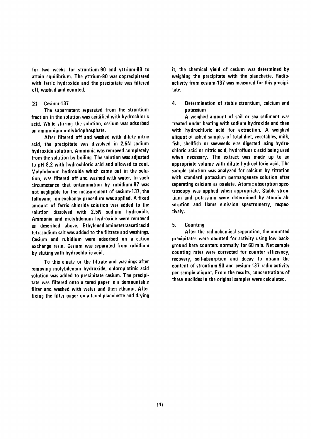for two weeks for strontium-90 and yttrium-90 to attain equilibrium. The yttrium-90 was coprecipitated with ferric hydroxide and the precipitate was filtered off, washed and counted.

#### Cesium-137  $(2)$

The supernatant separated from the strontium fraction in the solution was acidified with hydrochloric acid. While stirring the solution, cesium was adsorbed on ammonium molybdophosphate.

After filtered off and washed with dilute nitric acid, the precipitate was dissolved in 2.5N sodium hydroxide solution. Ammonia was removed completely from the solution by boiling. The solution was adjusted to pH 8.2 with hydrochloric acid and allowed to cool. Molybdenum hydroxide which came out in the solution, was filtered off and washed with water. In such circumstance that ontamination by rubidium-87 was not negligible for the measurement of cesium-137, the following ion-exchange procedure was applied. A fixed amount of ferric chloride solution was added to the solution dissolved with 2.5N sodium hydroxide. Ammonia and molybdenum hydroxide were removed as described above. Ethylenediaminetetraaceticacid tetrasodium salt was added to the filtrate and washings. Cesium and rubidium were adsorbed on a cation exchange resin. Cesium was separated from rubidium by eluting with hydrochloric acid.

To this eluate or the filtrate and washings after removing molybdenum hydroxide, chloroplatinic acid solution was added to precipitate cesium. The precipitate was filtered onto a tared paper in a demountable filter and washed with water and then ethanol. After fixing the filter paper on a tared planchette and drying it, the chemical yield of cesium was determined by weighing the precipitate with the planchette. Radioactivity from cesium-137 was measured for this precipitate.

4. Determination of stable strontium, calcium and potassium

A weighed amount of soil or sea sediment was treated under heating with sodium hydroxide and then with hydrochloric acid for extraction. A weighed aliguot of ashed samples of total diet, vegetables, milk, fish, shellfish or seeweeds was digested using hydrochloric acid or nitric acid, hydrofluoric acid being used when necessary. The extract was made up to an appropriate volume with dilute hydrochloric acid. The sample solution was analyzed for calcium by titration with standard potassium permanganate solution after separating calcium as oxalate. Atomic absorption spectroscopy was applied when appropriate. Stable strontium and potassium were determined by atomic absorption and flame emission spectrometry, respectively.

#### 5. Counting

After the radiochemical separation, the mounted precipitates were counted for activity using low background beta counters normally for 60 min. Net sample counting rates were corrected for counter efficiency, recovery, self-absorption and decay to obtain the content of strontium-90 and cesium-137 radio activity per sample aliquot. From the results, concentrations of these nuclides in the original samples were calculated.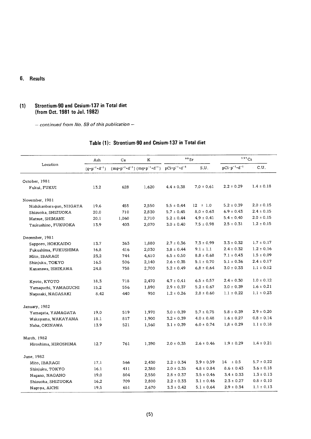## 6. Results

## (1) Strontium-90 and Cesium-137 in Total diet (from Oct. 1981 to Jul. 1982)

 $-$  continued from No. 59 of this publication  $-$ 

|                           | Ash                             | Ca    | K                                                                                             |                | $90$ Sr        | $137$ Cs                      |                |
|---------------------------|---------------------------------|-------|-----------------------------------------------------------------------------------------------|----------------|----------------|-------------------------------|----------------|
| Location                  | $(g \cdot p^{-1} \cdot d^{-1})$ |       | $(mg \cdot p^{-1} \cdot d^{-1}) (mq \cdot p^{-1} \cdot d^{-1}) pCi \cdot p^{-1} \cdot d^{-1}$ |                | S.U.           | $pCi\cdot p^{-1}\cdot d^{-1}$ | C.U.           |
| October, 1981             |                                 |       |                                                                                               |                |                |                               |                |
| Fukui, FUKUI              | 13.2                            | 628   | 1,620                                                                                         | $4.4 \pm 0.38$ | $7.0 \pm 0.61$ | $2.2 \pm 0.29$                | $1.4 \pm 0.18$ |
| November, 1981            |                                 |       |                                                                                               |                |                |                               |                |
| Nishikanbara-gun, NIIGATA | 19.6                            | 455   | 2,550                                                                                         | $5.5 \pm 0.44$ | $12 \pm 1.0$   | $5.2 \pm 0.39$                | $2.0 \pm 0.15$ |
| Shizuoka, SHIZUOKA        | 20.0                            | 710   | 2,830                                                                                         | $5.7 \pm 0.45$ | $8.0 \pm 0.63$ | $6.9 \pm 0.43$                | $2.4 \pm 0.15$ |
| Matsue, SHIMANE           | 20.1                            | 1,060 | 2,710                                                                                         | $5.2 \pm 0.44$ | $4.9 \pm 0.41$ | $5.4 \pm 0.40$                | $2.0 \pm 0.15$ |
| Tsukushino, FUKUOKA       | 13.9                            | 403   | 2,070                                                                                         | $3.0 \pm 0.40$ | $7.5 \pm 0.98$ | $2.5 \pm 0.31$                | $1.2 \pm 0.15$ |
| December, 1981            |                                 |       |                                                                                               |                |                |                               |                |
| Sapporo, HOKKAIDO         | 13.7                            | 363   | 1,880                                                                                         | $2.7 \pm 0.36$ | $7.3 \pm 0.99$ | $3.3 \pm 0.32$                | $1.7 \pm 0.17$ |
| Fukushima, FUKUSHIMA      | 16.8                            | 416   | 2,030                                                                                         | $3.8 \pm 0.44$ | $9.1 \pm 1.1$  | $2.4 \pm 0.32$                | $1.2 \pm 0.16$ |
| Mito, IBARAGI             | 23.2                            | 744   | 4,610                                                                                         | $6.5 \pm 0.50$ | $8.8 \pm 0.68$ | $7.1 \pm 0.43$                | $1.5 \pm 0.09$ |
| Shinjuku, TOKYO           | 16.5                            | 506   | 2,140                                                                                         | $2.6 \pm 0.35$ | $5.1 \pm 0.70$ | $5.1 \pm 0.36$                | $2.4 \pm 0.17$ |
| Kanazawa, ISHIKAWA        | 24.8                            | 758   | 2,700                                                                                         | $5.2 \pm 0.49$ | $6.8 \pm 0.64$ | $3.0 \pm 0.33$                | $1.1 \pm 0.12$ |
| Kyoto, KYOTO              | 18.3                            | 718   | 2,470                                                                                         | $4.7 \pm 0.41$ | $6.5 \pm 0.57$ | $2.4 \pm 0.30$                | $1.0 \pm 0.12$ |
| Yamaguchi, YAMAGUCHI      | 15.2                            | 556   | 1,890                                                                                         | $2.9 \pm 0.37$ | $5.2 \pm 0.67$ | $3.0 \pm 0.39$                | $1.6 \pm 0.21$ |
| Nagasaki, NAGASAKI        | 8.42                            | 440   | 950                                                                                           | $1.2 \pm 0.26$ | $2.8 \pm 0.60$ | $1.1 \pm 0.22$                | $1.1 \pm 0.23$ |
| January, 1982             |                                 |       |                                                                                               |                |                |                               |                |
| Yamaqata, YAMAGATA        | 19.0                            | 519   | 1,970                                                                                         | $3.0 \pm 0.39$ | $5.7 \pm 0.75$ | $5.8 \pm 0.39$                | $2.9 \pm 0.20$ |
| Wakayama, WAKAYAMA        | 18.1                            | 817   | 1,900                                                                                         | $3.2 \pm 0.39$ | $4.0 \pm 0.48$ | $1.6 \pm 0.27$                | $0.8 \pm 0.14$ |
| Naha, OKINAWA             | 13.9                            | 521   | 1,560                                                                                         | $3.1 \pm 0.39$ | $6.0 \pm 0.74$ | $1.8 \pm 0.29$                | $1.1 \pm 0.18$ |
| March, 1982               |                                 |       |                                                                                               |                |                |                               |                |
| Hiroshima, HIROSHIMA      | 12.7                            | 761   | 1,390                                                                                         | $2.0 \pm 0.35$ | $2.6 \pm 0.46$ | $1.9 \pm 0.29$                | $1.4 \pm 0.21$ |
| June, 1982                |                                 |       |                                                                                               |                |                |                               |                |
| Mito, IBARAGI             | 17.1                            | 566   | 2,430                                                                                         | $2.2 \pm 0.34$ | $3.9 \pm 0.59$ | $14 \pm 0.5$                  | $5.7 \pm 0.22$ |
| Shinjuku, TOKYO           | 16.1                            | 411   | 2,380                                                                                         | $2.0 \pm 0.35$ | $4.8 \pm 0.84$ | $8.6 \pm 0.43$                | $3.6 \pm 0.18$ |
| Nagano, NAGANO            | 19.0                            | 804   | 2,550                                                                                         | $2.8 \pm 0.37$ | $3.5 \pm 0.46$ | $3.4 \pm 0.33$                | $1.3 \pm 0.13$ |
| Shizuoka, SHIZUOKA        | 16.2                            | 709   | 2,800                                                                                         | $2.2 \pm 0.33$ | $3.1 \pm 0.46$ | $2.3 \pm 0.27$                | $0.8 \pm 0.10$ |
| Nagoya, AICHI             | 19.5                            | 651   | 2,670                                                                                         | $3.3 \pm 0.42$ | $5.1 \pm 0.64$ | $2.9 \pm 0.34$                | $1.1 \pm 0.13$ |

## Table (1): Strontium-90 and Cesium-137 in Total diet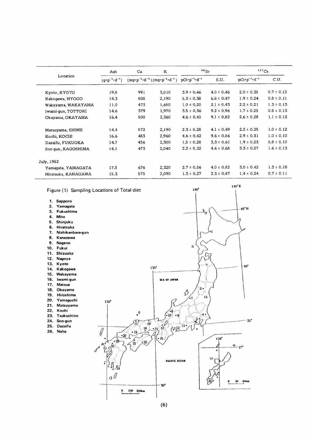|                     | Ash                                                                                                                                | ĸ<br>Ca |       | $90$ Sr        |                                        | 137Cs          |                |
|---------------------|------------------------------------------------------------------------------------------------------------------------------------|---------|-------|----------------|----------------------------------------|----------------|----------------|
| Location            | $(mq \cdot p^{-1} \cdot d^{-1}) (mq \cdot p^{-1} \cdot d^{-1})$ $pCi \cdot p^{-1} \cdot d^{-1}$<br>$(g \cdot p^{-1} \cdot d^{-1})$ |         |       | S.U.           | $pC\mathbf{i}\cdot p^{-1}\cdot d^{-1}$ | C.U.           |                |
| Kyoto, KYOTO        | 19.8                                                                                                                               | 991     | 3.010 | $3.9 \pm 0.46$ | $4.0 \pm 0.46$                         | $2.0 \pm 0.35$ | $0.7 \pm 0.12$ |
| Kakogawa, HYOGO     | 14.3                                                                                                                               | 808     | 2,190 | $5.3 \pm 0.38$ | $6.6 \pm 0.47$                         | $1.9 \pm 0.24$ | $0.8 \pm 0.11$ |
| Wakayama, WAKAYAMA  | 11.0                                                                                                                               | 473     | 1,650 | $1.0 \pm 0.20$ | $2.1 \pm 0.43$                         | $2.2 \pm 0.21$ | $1.3 \pm 0.13$ |
| Iwami-qun, TOTTORI  | 14.6                                                                                                                               | 379     | 1,970 | $3.5 \pm 0.36$ | $9.2 \pm 0.96$                         | $1.7 \pm 0.25$ | $0.8 \pm 0.13$ |
| Okayama, OKAYAMA    | 16.4                                                                                                                               | 500     | 2,360 | $4.6 \pm 0.41$ | $9.1 \pm 0.82$                         | $2.6 \pm 0.28$ | $1.1 \pm 0.12$ |
| Matsuyama, EHIME    | 14.4                                                                                                                               | 572     | 2,190 | $2.3 \pm 0.28$ | $4.1 \pm 0.49$                         | $2.2 \pm 0.25$ | $1.0 \pm 0.12$ |
| Kochi, KOCHI        | 16.6                                                                                                                               | 483     | 2,960 | $4.6 \pm 0.42$ | $9.6 \pm 0.86$                         | $2.9 \pm 0.31$ | $1.0 \pm 0.10$ |
| Dazaifu, FUKUOKA    | 14.7                                                                                                                               | 456     | 2,300 | $1.5 \pm 0.28$ | $3.3 \pm 0.61$                         | $1.9 \pm 0.23$ | $0.8 \pm 0.10$ |
| Soo-qun, KAGOSHIMA  | 14.1                                                                                                                               | 473     | 2,040 | $2.2 \pm 0.32$ | $4.6 \pm 0.68$                         | $3.3 \pm 0.27$ | $1.6 \pm 0.13$ |
| July, 1982          |                                                                                                                                    |         |       |                |                                        |                |                |
| Yamaqata, YAMAGATA  | 17.5                                                                                                                               | 676     | 2,320 | $2.7 \pm 0.56$ | $4.0 \pm 0.82$                         | $3.0 \pm 0.42$ | $1.3 \pm 0.18$ |
| Hiratsuka, KANAGAWA | 15.3                                                                                                                               | 575     | 2,090 | $1.3 \pm 0.27$ | $2.3 \pm 0.47$                         | $1.4 \pm 0.24$ | $0.7 \pm 0.11$ |

 $145^{\circ}E$ 

45° N

 $140^\circ$ 

 $\overline{\mathfrak{d}}^a$ 

Figure (1) Sampling Locations of Total diet

- 1.Sapporo
- 2.Yamagata
- 3.Fukushima
- 4. Mito
- 5.Shinjuku
- 6.Hiratsuka
- 7. Nishikanbara-gun
- 8.Kanazawa
- 9.Nagano
- 10. Fukui
- 11. Shizuoka
- 12. Nagoya
- 13.Kyoto
- 14. Kakogawa
- 15. Wakayama
- 16. lwami-gun
- 17. Matsue
- 18.Okayama
- 19. Hiroshima
- 20.Yamaguchi
- 21. Matsuyama
- 22. Kochi
- 
- 23. Tsukushino
- 24. Soo-gun 25. Dazaifu
- 26. Naha

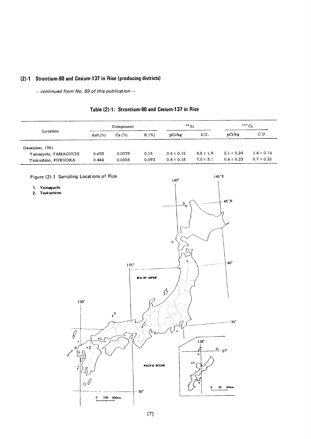## (2)-1 Strontium-90 and Cesium-137 in Rice (producing districts)

 $-$  continued from No. 59 of this publication  $-$ 

|  | Table (2)-1: Strontium-90 and Cesium-137 in Rice |  |  |  |
|--|--------------------------------------------------|--|--|--|
|--|--------------------------------------------------|--|--|--|

|                      | Component |        |       | $90$ Sr        |               | 137Cs          |                |
|----------------------|-----------|--------|-------|----------------|---------------|----------------|----------------|
| Location             | Ash $(%)$ | Ca (%) | K(%)  | pCi/kg         | S.U.          | pCi/kq         | C.U.           |
| December, 1981       |           |        |       |                |               |                |                |
| Yamaquchi, YAMAGUCHI | 0.693     | 0.0078 | 0.15  | $0.4 \pm 0.15$ | $4.8 \pm 1.9$ | $2.1 \pm 0.24$ | $1.4 \pm 0.16$ |
| Tsukushino, FUKUOKA  | 0.444     | 0.0058 | 0.093 | $0.4 \pm 0.18$ | $7.0 \pm 3.1$ | $0.6 \pm 0.23$ | $0.7 \pm 0.25$ |

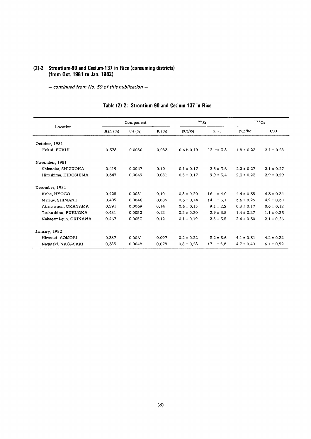#### (2)-2 Strontium-90 and Cesium-137 in Rice (consuming districts) (from Oct. 1981 to Jan. 1982)

- continued from No. 59 of this publication -

|                       |            | Component |       | $90$ Sr               |                  | 137Cs          |                |
|-----------------------|------------|-----------|-------|-----------------------|------------------|----------------|----------------|
| Location              | Ash $(\%)$ | Ca (%)    | K (%) | pCi/kg                | S.U.             | pCi/kg         | C.U.           |
| October, 1981         |            |           |       |                       |                  |                |                |
| Fukui, FUKUI          | 0.378      | 0.0050    | 0.083 | 0.6 <sub>b</sub> 0.19 | $12 \pm \pm 3.8$ | $1.8 \pm 0.23$ | $2.1 \pm 0.28$ |
| November, 1981        |            |           |       |                       |                  |                |                |
| Shizuoka, SHIZUOKA    | 0.419      | 0.0047    | 0.10  | $0.1 \pm 0.17$        | $2.5 \pm 3.6$    | $2.2 \pm 0.27$ | $2.1 \pm 0.27$ |
| Hiroshima, HIROSHIMA  | 0.347      | 0.0049    | 0.081 | $0.5 \pm 0.17$        | $9.9 \pm 3.4$    | $2.3 \pm 0.23$ | $2.9 \pm 0.29$ |
| December, 1981        |            |           |       |                       |                  |                |                |
| Kobe, HYOGO           | 0.428      | 0.0051    | 0.10  | $0.8 \pm 0.20$        | ± 4.0<br>16      | $4.4 \pm 0.35$ | $4.3 \pm 0.34$ |
| Matsue, SHIMANE       | 0.405      | 0.0046    | 0.085 | $0.6 \pm 0.14$        | 14<br>± 3.1      | $3.6 \pm 0.25$ | $4.2 \pm 0.30$ |
| Akaiwa-qun, OKAYAMA   | 0.591      | 0.0069    | 0.14  | $0.6 \pm 0.15$        | $9.1 \pm 2.2$    | $0.8 \pm 0.17$ | $0.6 \pm 0.12$ |
| Tsukushino, FUKUOKA   | 0.481      | 0.0052    | 0.12  | $0.2 \pm 0.20$        | $3.9 \pm 3.8$    | $1.4 \pm 0.27$ | $1.1 \pm 0.23$ |
| Nakaqami-qun, OKINAWA | 0.467      | 0.0053    | 0.12  | $0.1 \pm 0.19$        | $2.5 \pm 3.5$    | $2.4 \pm 0.30$ | $2.1 \pm 0.26$ |
| January, 1982         |            |           |       |                       |                  |                |                |
| Hirosaki, AOMORI      | 0.387      | 0.0061    | 0.097 | $0.2 \pm 0.22$        | $3.2 \pm 3.6$    | $4.1 \pm 0.31$ | $4.2 \pm 0.32$ |
| Nagasaki, NAGASAKI    | 0.385      | 0.0048    | 0.078 | $0.8 \pm 0.28$        | 17<br>± 5.8      | $4.7 \pm 0.40$ | $6.1 \pm 0.52$ |

## Table (2)-2: Strontium-90 and Cesium-137 in Rice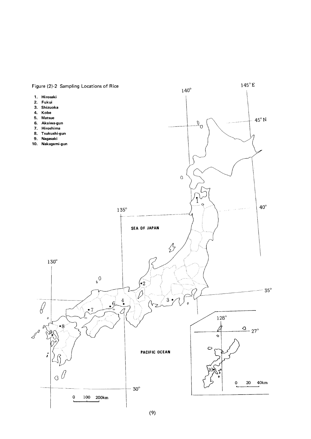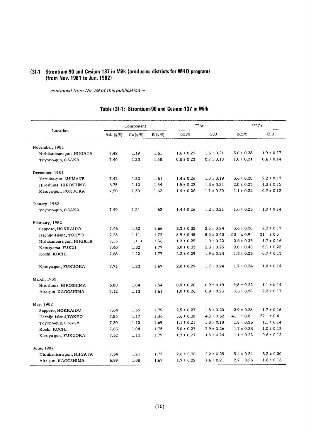#### (3)-1 Strontium-90 and Cesium-137 in Milk (producing districts for WHO p (from Nov. 1981 to Jun. 1

- continued from No. 59 of this publication -

|                           |                | Component     |             | $90$ Sr        |                | $137$ Cs       |                |
|---------------------------|----------------|---------------|-------------|----------------|----------------|----------------|----------------|
| Location                  | Ash $(g/\ell)$ | $Ca (g/\ell)$ | $K(g/\ell)$ | pCi/2          | S.U.           | pCi/2          | C.U.           |
| November, 1981            |                |               |             |                |                |                |                |
| Nishikanbara-gun, NIIGATA | 7.42           | 1.19          | 1.61        | $1.6 \pm 0.25$ | $1.3 \pm 0.21$ | $3.0 \pm 0.28$ | $1.9 \pm 0.17$ |
| Toyono-gun, OSAKA         | 7.40           | 1.23          | 1.58        | $0.8 \pm 0.23$ | $0.7 \pm 0.18$ | $1.0 \pm 0.21$ | $0.6 \pm 0.14$ |
| December, 1981            |                |               |             |                |                |                |                |
| Yatsuka-qun, SHIMANE      | 7.42           | 1.32          | 1.61        | $1.4 \pm 0.26$ | $1.0 \pm 0.19$ | $3.6 \pm 0.28$ | $2.2 \pm 0.17$ |
| Hiroshima, HIROSHIMA      | 6.75           | 1.12          | 1.54        | $1.5 \pm 0.23$ | $1.3 \pm 0.21$ | $2.0 \pm 0.23$ | $1.3 \pm 0.15$ |
| Kasuya-gun, FUKUOKA       | 7.50           | 1.30          | 1.63        | $1.4 \pm 0.26$ | $1.1 \pm 0.20$ | $1.1 \pm 0.22$ | $0.7 \pm 0.13$ |
| January, 1982             |                |               |             |                |                |                |                |
| Toyono-gun, OSAKA         | 7.49           | 1.21          | 1.63        | $1.4 \pm 0.26$ | $1.2 \pm 0.21$ | $1.6 \pm 0.23$ | $1.0 \pm 0.14$ |
| February, 1982            |                |               |             |                |                |                |                |
| Sapporo, HOKKAIDO         | 7.46           | 1.32          | 1.66        | $3.3 \pm 0.32$ | $2.5 \pm 0.24$ | $3.6 \pm 0.28$ | $2.2 \pm 0.17$ |
| Hachijo-Island, TOKYO     | 7.28           | 1.11          | 1.72        | $8.9 \pm 0.48$ | $8.0 \pm 0.43$ | $53 \pm 0.9$   | $31 \pm 0.5$   |
| Nishikanbara-gun, NIIGATA | 7.15           | 1.111         | 1.56        | $1.2 \pm 0.25$ | $1.0 \pm 0.22$ | $2.6 \pm 0.25$ | $1.7 \pm 0.16$ |
| Katsuyama, FUKUI          | 7.40           | 1.32          | 1.77        | $3.0 \pm 0.33$ | $2.3 \pm 0.25$ | $9.0 \pm 0.40$ | $5.1 \pm 0.22$ |
| Kochi, KOCHI              | 7.68           | 1,22          | 1.77        | $2.3 \pm 0.29$ | $1.9 \pm 0.24$ | $1.3 \pm 0.23$ | $0.7 \pm 0.13$ |
| Kasuya-qun, FUKUOKA       | 7.71           | 1,23          | 1.67        | $2.0 \pm 0.29$ | $1.7 \pm 0.24$ | $1.7 \pm 0.24$ | $1.0 \pm 0.14$ |
| March, 1982               |                |               |             |                |                |                |                |
| Hiroshima, HIROSHIMA      | 6.80           | 1.04          | 1.54        | $0.9 \pm 0.20$ | $0.9 \pm 0.19$ | $1.8 \pm 0.22$ | $1.1 \pm 0.14$ |
| Aira-qun, KAGOSHIMA       | 7.12           | 1.13          | 1.61        | $1.0 \pm 0.26$ | $0.9 \pm 0.23$ | $3.6 \pm 0.28$ | $2.2 \pm 0.17$ |
| May, 1982                 |                |               |             |                |                |                |                |
| Sapporo, HOKKAIDO         | 7.64           | 1.35          | 1.75        | $2.5 \pm 0.27$ | $1.8 \pm 0.20$ | $2.9 \pm 0.28$ | $1.7 \pm 0.16$ |
| Hachijo-Island, TOKYO     | 7.55           | 1.17          | 1.86        | $5.6 \pm 0.38$ | $4.8 \pm 0.32$ | $41 \pm 0.8$   | $22 \pm 0.4$   |
| Toyono-gun, OSAKA         | 7.30           | 1.12          | 1.69        | $1.1 \pm 0.21$ | $1.0 \pm 0.18$ | $1.8 \pm 0.23$ | $1.1 \pm 0.14$ |
| Kochi, KOCHI              | 7.03           | 1.04          | 1.75        | $3.0 \pm 0.27$ | $2.9 \pm 0.26$ | $1.7 \pm 0.23$ | $1.0 \pm 0.13$ |
| Kasuya-gun, FUKUOKA       | 7.32           | 1.13          | 1.79        | $1.7 \pm 0.27$ | $1.5 \pm 0.24$ | $1.1 \pm 0.22$ | $0.6 \pm 0.12$ |
| June, 1982                |                |               |             |                |                |                |                |
| Nishikanbara-qun, NIIGATA | 7.34           | 1.21          | 1.72        | $2.6 \pm 0.30$ | $2.2 \pm 0.25$ | $5.4 \pm 0.34$ | $3.2 \pm 0.20$ |
| Aira-gun, KAGOSHIMA       | 6.99           | 1.08          | 1.67        | $1.7 \pm 0.22$ | $1.6 \pm 0.21$ | $2.7 \pm 0.26$ | $1.6 \pm 0.16$ |

## Table (3)-1: Strontium-90 and Cesium-137 in Milk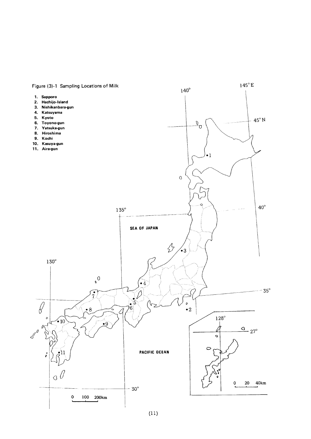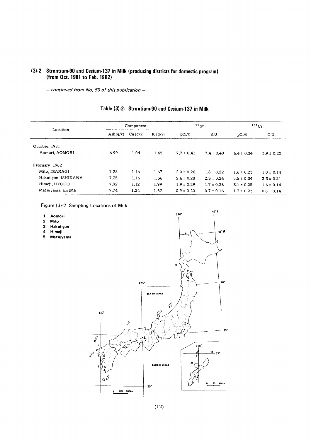## (3)-2 Strontium-90 and Cesium-137 in Milk (producing districts for domestic program) (from Oct. 1981 to Feb. 1982)

- continued from No. 59 of this publication -

| Location            | Component            |         |                  |                | $\rm{^{90}Sr}$ |                | 137Cs          |  |
|---------------------|----------------------|---------|------------------|----------------|----------------|----------------|----------------|--|
|                     | $\text{Ash}(g/\ell)$ | Ca(g/R) | $K$ (g/ $\ell$ ) | $pCi/\ell$     | S.U.           | pCi/2          | C.U.           |  |
| October, 1981       |                      |         |                  |                |                |                |                |  |
| Aomori, AOMORI      | 6.99                 | 1.04    | 1.65             | $7.7 \pm 0.41$ | $7.4 \pm 0.40$ | $6.4 \pm 0.34$ | $3.9 \pm 0.20$ |  |
| February, 1982      |                      |         |                  |                |                |                |                |  |
| Mito, IBARAGI       | 7.38                 | 1.16    | 1.67             | $2.0 \pm 0.26$ | $1.8 \pm 0.22$ | $1.6 \pm 0.23$ | $1.0 \pm 0.14$ |  |
| Hakui-gun, ISHIKAWA | 7.35                 | 1.16    | 1.66             | $2.6 \pm 0.28$ | $2.3 \pm 0.24$ | $5.5 \pm 0.34$ | $3.3 \pm 0.21$ |  |
| Himeji, HYOGO       | 7.92                 | 1.12    | 1.99             | $1.9 \pm 0.29$ | $1.7 \pm 0.26$ | $3.1 \pm 0.28$ | $1.6 \pm 0.14$ |  |
| Matsuyama, EHIME    | 7.74                 | 1.24    | 1.67             | $0.9 \pm 0.20$ | $0.7 \pm 0.16$ | $1.3 \pm 0.23$ | $0.8 \pm 0.14$ |  |

## Table (3)-2: Strontium-90 and Cesium-137 in Milk

Figure (3)-2 Sampling Locations of Milk

1. Aomori 2. Mito

4. Himeji

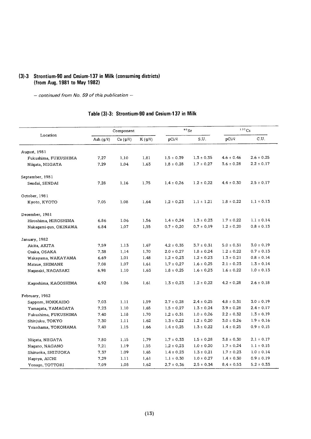#### (3)-3 Strontium-90 and Cesium-137 in Milk (consuming distric (from Aug. 1981 to May

 $-$  continued from No. 59 of this publication  $-$ 

## Table (3)-3: Strontium-90 and Cesium-137 in Milk

|                       |                | Component     |             | $90$ Sr        |                | $137$ Cs       |                |
|-----------------------|----------------|---------------|-------------|----------------|----------------|----------------|----------------|
| Location              | Ash $(g/\ell)$ | $Ca (g/\ell)$ | $K(g/\ell)$ | pCi/R          | S.U.           | pCi/2          | C.U.           |
| August, 1981          |                |               |             |                |                |                |                |
| Fukushima, FUKUSHIMA  | 7.27           | 1.10          | 1.81        | $1.5 \pm 0.39$ | $1.3 \pm 0.35$ | $4.6 \pm 0.46$ | $2.6 \pm 0.25$ |
| Niigata, NIIGATA      | 7.29           | 1,04          | 1.63        | $1.8 \pm 0.28$ | $1.7 \pm 0.27$ | $3.6 \pm 0.28$ | $2.2 \pm 0.17$ |
| September, 1981       |                |               |             |                |                |                |                |
| Sendai, SENDAI        | 7.28           | 1.16          | 1.75        | $1.4 \pm 0.26$ | $1.2 \pm 0.22$ | $4.4 \pm 0.30$ | $2.5 \pm 0.17$ |
| October, 1981         |                |               |             |                |                |                |                |
| Kyoto, KYOTO          | 7.05           | 1.08          | 1.64        | $1.2 \pm 0.23$ | $1.1 \pm 1.21$ | $1.8 \pm 0.22$ | $1.1 \pm 0.13$ |
| December, 1981        |                |               |             |                |                |                |                |
| Hiroshima, HIROSHIMA  | 6.86           | 1.06          | 1.56        | $1.4 \pm 0.24$ | $1.3 \pm 0.23$ | $1.7 \pm 0.22$ | $1.1 \pm 0.14$ |
| Nakaqami-qun, OKINAWA | 6.84           | 1.07          | 1,55        | $0.7 \pm 0.20$ | $0.7 \pm 0.19$ | $1.2 \pm 0.20$ | $0.8 \pm 0.13$ |
| January, 1982         |                |               |             |                |                |                |                |
| Akita, AKITA          | 7.59           | 1.13          | 1.67        | $4.2 \pm 0.35$ | $3.7 \pm 0.31$ | $5.0 \pm 0.31$ | $3.0 \pm 0.19$ |
| Osaka, OSAKA          | 7.38           | 1.14          | 1.70        | $2.0 \pm 0.27$ | $1.8 \pm 0.24$ | $1.2 \pm 0.22$ | $0.7 \pm 0.13$ |
| Wakayama, WAKAYAMA    | 6.69           | 1.01          | 1.48        | $1.2 \pm 0.23$ | $1.2 \pm 0.23$ | $1.3 \pm 0.21$ | $0.8 \pm 0.14$ |
| Matsue, SHIMANE       | 7.08           | 1.07          | 1.61        | $1.7 \pm 0.27$ | $1.6 \pm 0.25$ | $2.1 \pm 0.23$ | $1.3 \pm 0.14$ |
| Nagasaki, NAGASAKI    | 6.98           | 1.10          | 1.63        | $1.8 \pm 0.25$ | $1.6 \pm 0.23$ | $1.6 \pm 0.22$ | $1.0 \pm 0.13$ |
| Kagoshima, KAGOSHIMA  | 6.92           | 1.06          | 1.61        | $1.3 \pm 0.23$ | $1.2 \pm 0.22$ | $4.2 \pm 0.28$ | $2.6 \pm 0.18$ |
| February, 1982        |                |               |             |                |                |                |                |
| Sapporo, HOKKAIDO     | 7.03           | 1.11          | 1.59        | $2.7 \pm 0.28$ | $2.4 \pm 0.25$ | $4.8 \pm 0.31$ | $3.0 \pm 0.19$ |
| Yamaqata, YAMAGATA    | 7.23           | 1.10          | 1.65        | $1.5 \pm 0.27$ | $1.3 \pm 0.24$ | $3.9 \pm 0.28$ | $2.4 \pm 0.17$ |
| Fukushima, FUKUSHIMA  | 7.40           | 1.18          | 1.70        | $1,2 \pm 0.31$ | $1.0 \pm 0.26$ | $2.2 \pm 0.32$ | $1.3 \pm 0.19$ |
| Shinjuku, TOKYO       | 7.30           | 1.11          | 1.62        | $1.3 \pm 0.22$ | $1.2 \pm 0.20$ | $3.0 \pm 0.26$ | $1.9 \pm 0.16$ |
| Yokohama, YOKOHAMA    | 7.40           | 1.15          | 1.66        | $1.4 \pm 0.25$ | $1.3 \pm 0.22$ | $1.4 \pm 0.25$ | $0.9 \pm 0.15$ |
| Niigata, NIIGATA      | 7,80           | 1,15          | 1.79        | $1.7 \pm 0.33$ | $1.5 \pm 0.28$ | $3.8 \pm 0.30$ | $2.1 \pm 0.17$ |
| Nagano, NAGANO        | 7.21           | 1.19          | 1.55        | $1.2 \pm 0.23$ | $1.0 \pm 0.20$ | $1.7 \pm 0.24$ | $1.1 \pm 0.15$ |
| Shizuoka, SHIZUOKA    | 7.37           | 1.09          | 1.65        | $1.4 \pm 0.23$ | $1.3 \pm 0.21$ | $1.7 \pm 0.23$ | $1.0 \pm 0.14$ |
| Nagoya, AICHI         | 7.29           | 1.11          | 1,61        | $1.1 \pm 0.30$ | $1.0 \pm 0.27$ | $1.4 \pm 0.30$ | $0.9 \pm 0.19$ |
| Yonago, TOTTORI       | 7.09           | 1,08          | 1.62        | $2.7 \pm 0.36$ | $2.5 \pm 0.34$ | $8.4 \pm 0.53$ | $5.2 \pm 0.33$ |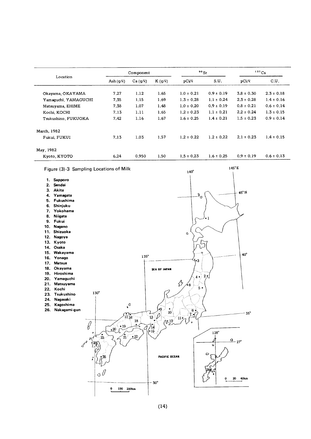|                      |                | Component |             |                | $90$ Sr        |                | $137$ Cs       |
|----------------------|----------------|-----------|-------------|----------------|----------------|----------------|----------------|
| Location             | Ash $(q/\ell)$ | Ca(g/l)   | $K(q/\ell)$ | DCV            | S.U.           | pCi/2          | C.U.           |
| Okayama, OKAYAMA     | 7.27           | 1.12      | 1.65        | $1.0 \pm 0.21$ | $0.9 \pm 0.19$ | $3.8 \pm 0.30$ | $2.3 \pm 0.18$ |
| Yamaquchi, YAMAGUCHI | 7.35           | 1.15      | 1.69        | $1.3 \pm 0.28$ | $1.1 \pm 0.24$ | $2.3 \pm 0.28$ | $1.4 \pm 0.16$ |
| Matsuyama, EHIME     | 7.38           | 1,07      | 1.48        | $1.0 \pm 0.20$ | $0.9 \pm 0.19$ | $0.8 \pm 0.21$ | $0.6 \pm 0.14$ |
| Kochi, KOCHI         | 7.13           | 1.11      | 1.65        | $1.2 \pm 0.23$ | $1.1 \pm 0.21$ | $2.2 \pm 0.24$ | $1.3 \pm 0.15$ |
| Tsukushino, FUKUOKA  | 7.42           | 1.16      | 1.67        | $1.6 \pm 0.25$ | $1.4 \pm 0.21$ | $1.5 \pm 0.23$ | $0.9 \pm 0.14$ |
| March, 1982          |                |           |             |                |                |                |                |
| Fukui, FUKUI         | 7.13           | 1.03      | 1.57        | $1.2 \pm 0.22$ | $1.2 \pm 0.22$ | $2.1 \pm 0.23$ | $1.4 \pm 0.15$ |
| May, 1982            |                |           |             |                |                |                |                |
| Kyoto, KYOTO         | 6.24           | 0.950     | 1.50        | $1.5 \pm 0.23$ | $1.6 \pm 0.25$ | $0.9 \pm 0.19$ | $0.6 \pm 0.13$ |

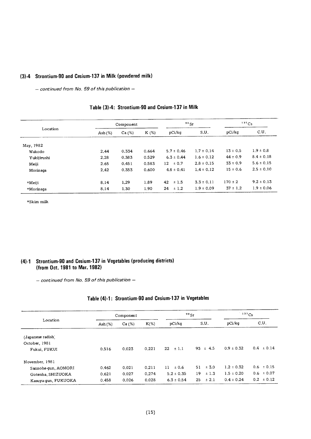## (3)-4 Strontium-90 and Cesium-137 in Milk (powdered milk)

- continued from No. 59 of this publication -

|             |            | Component |         | $90$ Sr         |                |              | $137$ Cs       |
|-------------|------------|-----------|---------|-----------------|----------------|--------------|----------------|
| Location    | Ash $(\%)$ | Ca (%)    | $K(\%)$ | pCi/ka          | S.U.           | pCi/kg       | C.U.           |
| May, 1982   |            |           |         |                 |                |              |                |
| Wakodo      | 2.44       | 0.334     | 0.664   | $5.7 \pm 0.46$  | $1.7 \pm 0.14$ | $13 \pm 0.5$ | $1.9 \pm 0.8$  |
| Yukijirushi | 2.28       | 0.383     | 0.529   | $6.3 \pm 0.44$  | $1.6 \pm 0.12$ | $44 \pm 0.9$ | $8.4 \pm 0.18$ |
| Meiji       | 2.65       | 0.451     | 0.583   | ± 0.7<br>12     | $2.8 \pm 0.15$ | $33 \pm 0.9$ | $5.6 \pm 0.15$ |
| Morinaga    | 2.42       | 0.353     | 0.600   | $4.8 \pm 0.41$  | $1.4 \pm 0.12$ | $15 \pm 0.6$ | $2.5 \pm 0.10$ |
| $*$ Meiji   | 8.14       | 1,29      | 1.89    | 42<br>$\pm$ 1.5 | $3.3 \pm 0.11$ | $170 \pm 2$  | $9.2 \pm 0.13$ |
| *Morinaga   | 8.14       | 1.30      | 1.90    | ±1.2<br>24      | $1.9 \pm 0.09$ | $37 \pm 1.2$ | $1.9 \pm 0.06$ |

## Table (3)-4: Strontium-90 and Cesium-137 in Milk

 $\star$ Skim milk

#### (4)-1 Strontium-90 and Cesium-137 in Vegetables (producing districts) (from Oct. 1981 to Mar. 1982)

 $-$  continued from No. 59 of this publication  $-$ 

## Table (4)-1: Strontium-90 and Cesium-137 in Vegetables

|                     |           | Component | 90Sr    |                 |                 | $137$ Cs       |                |
|---------------------|-----------|-----------|---------|-----------------|-----------------|----------------|----------------|
| Location            | Ash $(%)$ | Ca (%)    | $K(\%)$ | pCi/kq          | S.U.            | pCi/kq         | C.U.           |
| (Japanese radish)   |           |           |         |                 |                 |                |                |
| October, 1981       |           |           |         |                 |                 |                |                |
| Fukui, FUKUI        | 0.516     | 0.023     | 0.221   | $\pm$ 1.1<br>22 | $93 \pm 4.5$    | $0.9 \pm 0.32$ | $0.4 \pm 0.14$ |
| November, 1981      |           |           |         |                 |                 |                |                |
| Sannohe-gun, AOMORI | 0.462     | 0.021     | 0.211   | ± 0.6<br>11     | $\pm$ 3.0<br>51 | $1.2 \pm 0.32$ | $0.6 \pm 0.15$ |
| Gotenba, SHIZUOKA   | 0.621     | 0.027     | 0.274   | $5.2 \pm 0.35$  | ±1.3<br>19      | $1.5 \pm 0.20$ | $0.6 \pm 0.07$ |
| Kasuya-gun, FUKUOKA | 0.458     | 0.026     | 0.028   | $6.3 \pm 0.54$  | 25<br>$\pm 2.1$ | $0.4 \pm 0.24$ | $0.2 \pm 0.12$ |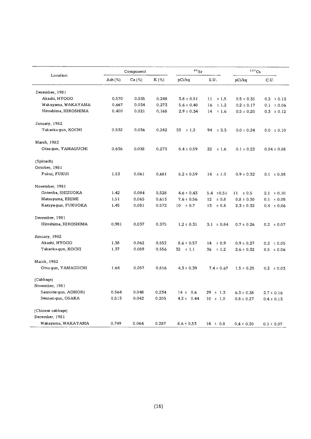| Location             |         | Component |         | $\rm ^{9\,0}\,Sr$ |                | 137Cs          |                 |
|----------------------|---------|-----------|---------|-------------------|----------------|----------------|-----------------|
|                      | Ash (%) | Ca (%)    | $K(\%)$ | pCi/kg            | S.U.           | pCi/kg         | C.U.            |
| December, 1981       |         |           |         |                   |                |                |                 |
| Akashi, HYOGO        | 0.570   | 0.035     | 0.248   | $3.8 \pm 0.51$    | $11 \pm 1.5$   | $0.5 \pm 0.31$ | $0.2 \pm 0.13$  |
| Wakayama, WAKAYAMA   | 0.667   | 0.034     | 0.273   | $5.6 \pm 0.40$    | 16<br>±1.2     | $0.2 \pm 0.17$ | $0.1 \pm 0.06$  |
| Hiroshima, HIROSHIMA | 0.400   | 0.021     | 0.168   | $2.9 \pm 0.34$    | $14 \pm 1.6$   | $0.5 \pm 0.20$ | $0.3 \pm 0.12$  |
| January, 1982        |         |           |         |                   |                |                |                 |
| Takaoka-gun, KOCHI   | 0.532   | 0.036     | 0.242   | 33<br>$\pm$ 1.2   | $94 \pm 3.3$   | $0.0 \pm 0.24$ | $0.0 \pm 0.10$  |
| March, 1982          |         |           |         |                   |                |                |                 |
| Otsu-gun, YAMAGUCHI  | 0.636   | 0.038     | 0.273   | $8.4 \pm 0.59$    | 22<br>±1.6     | $0.1 \pm 0.22$ | $0.04 \pm 0.08$ |
| (Spinach)            |         |           |         |                   |                |                |                 |
| October, 1981        |         |           |         |                   |                |                |                 |
| Fukui, FUKUI         | 1.53    | 0.061     | 0.681   | $8.2 \pm 0.59$    | $14 \pm 1.0$   | $0.9 \pm 0.32$ | $0.1 \pm 0.05$  |
| November, 1981       |         |           |         |                   |                |                |                 |
| Gotenba, SHIZUOKA    | 1.42    | 0.084     | 0,528   | $4.6 \pm 0.43$    | $5.4 \pm 0.51$ | 11<br>± 0.5    | $2.1 \pm 0.10$  |
| Matsuyama, EHIME     | 1.51    | 0.065     | 0.613   | $7.6 \pm 0.56$    | 12<br>± 0.8    | $0.8 \pm 0.30$ | $0.1 \pm 0.05$  |
| Kasuya-gun, FUKUOKA  | 1.45    | 0.081     | 0.572   | $10 \pm 0.7$      | ± 0.8<br>13    | $2.3 \pm 0.32$ | $0.4 \pm 0.06$  |
| December, 1981       |         |           |         |                   |                |                |                 |
| Hiroshima, HIROSHIMA | 0.981   | 0.037     | 0.375   | $1.2 \pm 0.31$    | $3.1 \pm 0.84$ | $0.7 \pm 0.26$ | $0.2 \pm 0.07$  |
| January, 1982        |         |           |         |                   |                |                |                 |
| Akashi, HYOGO        | 1.38    | 0.062     | 0.552   | $8.6 \pm 0.57$    | ±0.9<br>14     | $0.9 \pm 0.27$ | $0.2 \pm 0.05$  |
| Takaoka-gun, KOCHI   | 1.37    | 0.089     | 0.556   | 32<br>$\pm$ 1.1   | 36<br>± 1.2    | $2.6 \pm 0.32$ | $0.5 \pm 0.06$  |
| March, 1982          |         |           |         |                   |                |                |                 |
| Otsu-gun, YAMAGUCHI  | 1.64    | 0.057     | 0.816   | $4.3 \pm 0.39$    | $7.4 \pm 0.67$ | $1.5 \pm 0.25$ | $0.2 \pm 0.03$  |
| (Cabbage)            |         |           |         |                   |                |                |                 |
| November, 1981       |         |           |         |                   |                |                |                 |
| Sannohe-gun, AOMORI  | 0.564   | 0.048     | 0.234   | $14 \pm 0.6$      | $29 \pm 1.3$   | $6.3 \pm 0.38$ | $2.7 \pm 0.16$  |
| Sennan-gun, OSAKA    | 0,513   | 0.042     | 0.205   | $4.2 \pm 0.44$    | $10 \pm 1.0$   | $0.8 \pm 0.27$ | $0.4 \pm 0.13$  |
| (Chinese cabbage)    |         |           |         |                   |                |                |                 |
| December, 1981       |         |           |         |                   |                |                |                 |
| Wakayama, WAKAYAMA   | 0.749   | 0.064     | 0.287   | $8.6 \pm 0.53$    | $14 \pm 0.8$   | $0.4 \pm 0.20$ | $0.1 \pm 0.07$  |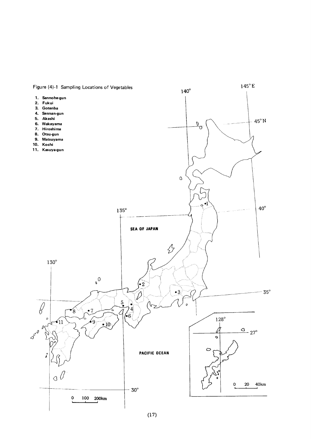

 $(17)$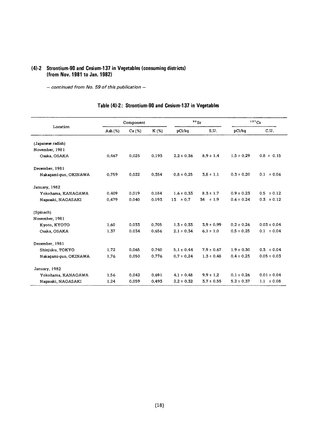## (4)-2 Strontium-90 and Cesium-137 in Vegetables (consuming districts) (from Nov. 1981 to Jan. 1982)

- continued from No. 59 of this publication -

|                       |           | Component |       |                | $90$ Sr        | 137Cs          |                 |
|-----------------------|-----------|-----------|-------|----------------|----------------|----------------|-----------------|
| Location              | Ash $(%)$ | Ca (%)    | K (%) | pCi/kg         | S.U.           | pCi/kq         | C.U.            |
| (Japanese radish)     |           |           |       |                |                |                |                 |
| November, 1981        |           |           |       |                |                |                |                 |
| Osaka, OSAKA          | 0.467     | 0.025     | 0.193 | $2.2 \pm 0.36$ | $8.9 \pm 1.4$  | $1.5 \pm 0.29$ | $0.8 \pm 0.15$  |
| December, 1981        |           |           |       |                |                |                |                 |
| Nakagami-gun, OKINAWA | 0.759     | 0.022     | 0.354 | $0.8 \pm 0.25$ | $3.8 \pm 1.1$  | $0.3 \pm 0.20$ | $0.1 \pm 0.06$  |
| January, 1982         |           |           |       |                |                |                |                 |
| Yokohama, KANAGAWA    | 0.409     | 0.019     | 0.184 | $1.6 \pm 0.33$ | $8.3 \pm 1.7$  | $0.9 \pm 0.23$ | $0.5 \pm 0.12$  |
| Naqasaki, NAGASAKI    | 0.479     | 0.040     | 0.193 | 13<br>± 0.7    | $34 \pm 1.9$   | $0.6 \pm 0.24$ | $0.3 \pm 0.12$  |
| (Spinach)             |           |           |       |                |                |                |                 |
| November, 1981        |           |           |       |                |                |                |                 |
| Kyoto, KYOTO          | 1.60      | 0.033     | 0.705 | $1.3 \pm 0.33$ | $3.9 \pm 0.99$ | $0.2 \pm 0.26$ | $0.03 \pm 0.04$ |
| Osaka, OSAKA          | 1.37      | 0.034     | 0.656 | $2.1 \pm 0.34$ | $6.1 \pm 1.0$  | $0.5 \pm 0.25$ | $0.1 \pm 0.04$  |
| December, 1981        |           |           |       |                |                |                |                 |
| Shinjuku, TOKYO       | 1.72      | 0.065     | 0.740 | $5.1 \pm 0.44$ | $7.9 \pm 0.67$ | $1.9 \pm 0.30$ | $0.3 \pm 0.04$  |
| Nakaqami-qun, OKINAWA | 1.76      | 0.050     | 0.776 | $0.7 \pm 0.24$ | $1.3 \pm 0.48$ | $0.4 \pm 0.25$ | $0.05 \pm 0.03$ |
| January, 1982         |           |           |       |                |                |                |                 |
| Yokohama, KANAGAWA    | 1.56      | 0.042     | 0.691 | $4.1 \pm 0.48$ | $9.9 \pm 1.2$  | $0.1 \pm 0.26$ | $0.01 \pm 0.04$ |
| Naqasaki, NAGASAKI    | 1.24      | 0.059     | 0.493 | $2.2 \pm 0.32$ | $3.7 \pm 0.55$ | $5.2 \pm 0.37$ | $1.1 \pm 0.08$  |

## Table (4)-2: Strontium-90 and Cesium-137 in Vegetables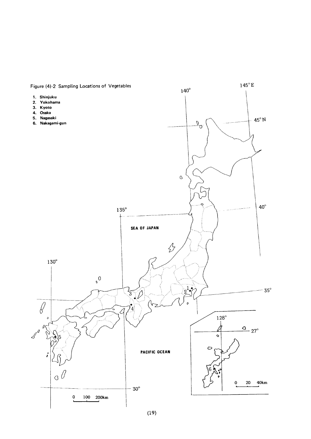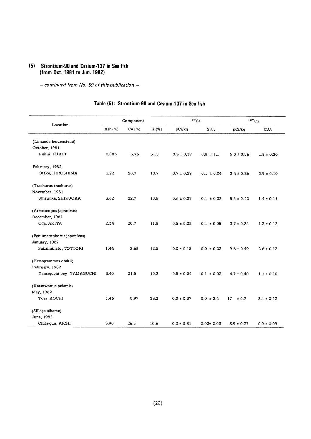#### (5) Strontium-90 and Cesium-137 in Sea fish (from Oct. 1981 to Jun. 1982)

- continued from No. 59 of this publication -

#### Component 90 Sr  $137$ Cs Location pCi/kg  $c.u.$ Ash(%) Ca(%) K(%) pCi/kg S.U. (Limanda herzensteini) October,1981 Fukui, FUKUI 0.883 3.76 31.5  $0.3 \pm 0.37$  0.8  $\pm 1.1$  $5.0 \pm 0.56$  $1.8 \pm 0.20$ February,1982 Otake, HIROSHIMA 3.22 20.7 10.7 0.7  $\pm$  0.29 0.1  $\pm$  0.04  $3.4 \pm 0.36$  $0.9 \pm 0.10$ (Trachurus trachurus) November,1981 Shizuoka, SHIZUOKA 3.62 22.7 10.8  $0.6 \pm 0.27$  0.1  $\pm 0.03$  $5.5 \pm 0.42$  $1.4 \pm 0.11$ (Arctoscopus japonicus) December,1981 Oga, AKITA 2.34 20.7 11.8 0.5±0.22 0.1±0.0  $3.7 \pm 0.34$  $1.3 \pm 0.12$ (Penumatophorus japonicus) January,1982 Sakaiminato, TOTTORI 1.44 2.68 12.5  $0.0 \pm 0.18$  0.0  $\pm 0.23$  $9.6 \pm 0.49$  $2.6 \pm 0.13$ (Hexagrammos otakii) February,1982 Yamaguchi-bey, YAMAGUCHI 3.40 21.5 10.3 0.5 ± 0.24 0.1 ± 0.03  $4.7 \pm 0.40$  $1.1 \pm 0.10$ (Katsuwonus pelamis) May,1982 Tosa, KOCHI 1.46 0.97 33.2 0.0 ± 0.37 0.0 ± 2.4  $17\phantom{0} \pm 0.7\phantom{0}$  $3.1 \pm 0.13$ (Sillago sihame) June, 1982 Chita-gun, AICHI 3.90 26.5 10.6  $0.2 \pm 0.31$  $0.02 \pm 0.03$  $3.9 \pm 0.37$  $0.9 \pm 0.09$

#### Table (5): Strontium-90 and Cesium-137 in Sea fish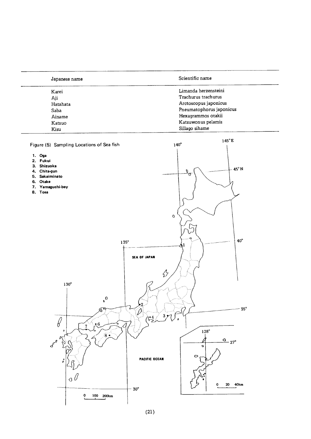| Japanese name | Scientific name          |  |  |
|---------------|--------------------------|--|--|
| Karei         | Limanda herzensteini     |  |  |
| Aji           | Trachurus trachurus      |  |  |
| Hatahata      | Arctoscopus japonicus    |  |  |
| Saba          | Pneumatophorus japonicus |  |  |
| Ainame        | Hexagrammos otakii       |  |  |
| Katsuo        | Katsuwonus pelamis       |  |  |
| Kisu          | Sillago sihame           |  |  |

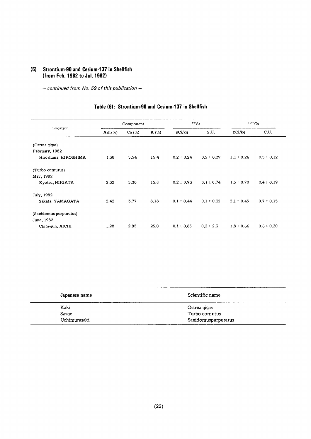#### Strontium-90 and Cesium-137 in Shellfish  $(6)$ (from Feb. 1982 to Jul. 1982)

 $-$  continued from No. 59 of this publication  $-$ 

#### $90$  Sr  $137$  Cs  $\begin{minipage}{.4\linewidth} \hspace*{-0.2cm} \textbf{Component} \end{minipage}$  ${\tt Location}$ Ash $(\%)$  $Ca (%)$ K (%)  $\rm pCi/kg$  $S.U.$  ${\rm pCi/kg}$  $C.U.$ (Ostrea gigas) February, 1982 Hiroshima, HIROSHIMA 1.38 5,54 15.4  $0.2 \pm 0.24$  $0.2 \pm 0.29$  $1.1 \pm 0.26$  $0.5 \pm 0.12$ (Turbo cornutus) May, 1982 Ryotsu, NIIGATA 2.32 5.30 15.8  $0.2 \pm 0.93$  $0.1 \pm 0.74$  $1.5 \pm 0.70$  $0.4 \pm 0.19$ July, 1982 Sakata, YAMAGATA 2.42 3.77 8.18  $0.1 \pm 0.44$  $0.1 \pm 0.32$  $2.1 \pm 0.45$  $0.7 \pm 0.15$ (Saxidomus purpuratus) June, 1982  $1.28$ 2,85 25.0  $0.1 \pm 0.85$  $0.2 \pm 2.3$  $1.8 \pm 0.66$  $0.6 \pm 0.20$ Chita-gun, AICHI

## Table (6): Strontium-90 and Cesium-137 in Shellfish

| Japanese name | Scientific name     |
|---------------|---------------------|
| Kaki          | Ostrea gigas        |
| Sazae         | Turbo cornutus      |
| Uchimurasaki  | Saxidomuspurpuratus |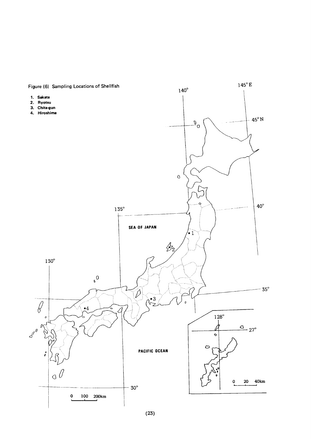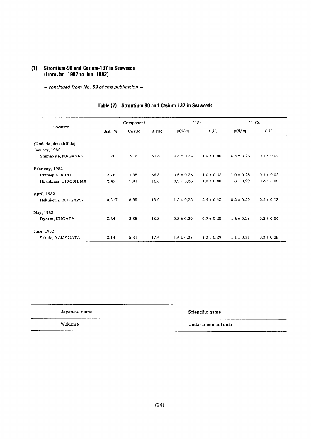#### (7) Strontium-90 and Cesium-137 in Seaweeds (from Jan. 1982 to Jun. 1982)

- continued from No. 59 of this publication -

|                        |            | Component |         | $90$ Sr        |                | 137Cs          |                |
|------------------------|------------|-----------|---------|----------------|----------------|----------------|----------------|
| Location               | Ash $(\%)$ | Ca(%)     | $K(\%)$ | pCi/kg         | S.U.           | pCi/kq         | C.U.           |
| (Undaria pinnadtifida) |            |           |         |                |                |                |                |
| January, 1982          |            |           |         |                |                |                |                |
| Shimabara, NAGASAKI    | 1.76       | 3.36      | 31.8    | $0.8 \pm 0.24$ | $1.4 \pm 0.40$ | $0.6 \pm 0.23$ | $0.1 \pm 0.04$ |
| February, 1982         |            |           |         |                |                |                |                |
| Chita-gun, AICHI       | 2.76       | 1.95      | 36.8    | $0.5 \pm 0.23$ | $1.0 \pm 0.43$ | $1.0 \pm 0.25$ | $0.1 \pm 0.02$ |
| Hiroshima, HIROSHIMA   | 3.45       | 2.41      | 16.8    | $0.9 \pm 0.33$ | $1.0 \pm 0.40$ | $1.8 \pm 0.29$ | $0.3 \pm 0.05$ |
| April, 1982            |            |           |         |                |                |                |                |
| Hakui-gun, ISHIKAWA    | 0.817      | 8.85      | 18.0    | $1.8 \pm 0.32$ | $2.4 \pm 0.43$ | $0.2 \pm 0.20$ | $0.2 \pm 0.13$ |
| May, 1982              |            |           |         |                |                |                |                |
| Ryotsu, NIIGATA        | 3.64       | 2.85      | 18.8    | $0.8 \pm 0.29$ | $0.7 \pm 0.28$ | $1.6 \pm 0.28$ | $0.2 \pm 0.04$ |
| June, 1982             |            |           |         |                |                |                |                |
| Sakata, YAMAGATA       | 2.14       | 5.81      | 17.6    | $1.6 \pm 0.37$ | $1.3 \pm 0.29$ | $1.1 \pm 0.31$ | $0.3 \pm 0.08$ |

## Table (7): Strontium-90 and Cesium-137 in Seaweeds

| Japanese name | Scientific name      |
|---------------|----------------------|
| Wakame        | Undaria pinnadtifida |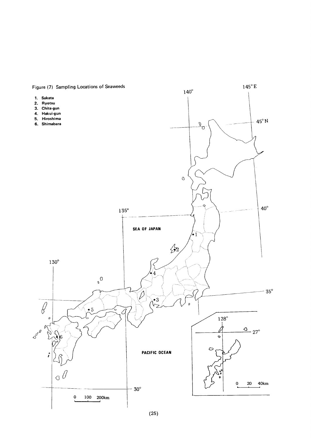